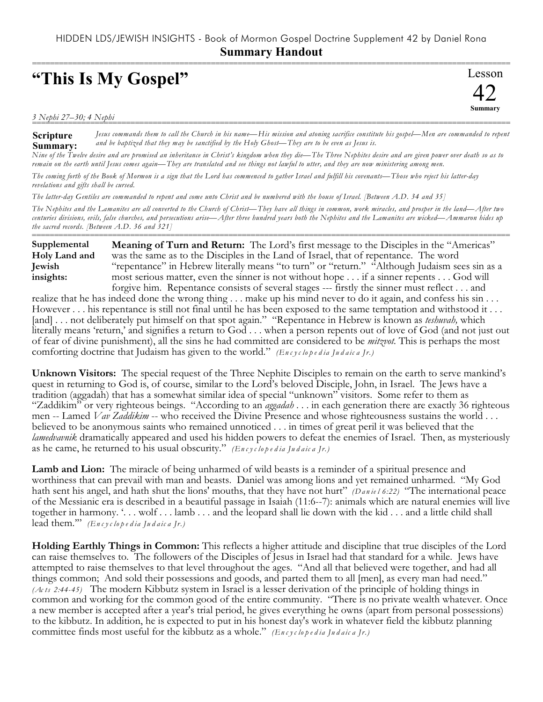## **"This Is My Gospel"**

Lesson 42 **Summary** ===========================================================================================================

*3 Nephi 27–30; 4 Nephi* ===========================================================================================================

**Scripture Summary:** *Jesus commands them to call the Church in his name—His mission and atoning sacrifice constitute his gospel—Men are commanded to repent and be baptized that they may be sanctified by the Holy Ghost—They are to be even as Jesus is.*

*Nine of the Twelve desire and are promised an inheritance in Christ's kingdom when they die—The Three Nephites desire and are given power over death so as to remain on the earth until Jesus comes again—They are translated and see things not lawful to utter, and they are now ministering among men.*

*The coming forth of the Book of Mormon is a sign that the Lord has commenced to gather Israel and fulfill his covenants—Those who reject his latter-day revelations and gifts shall be cursed.*

*The latter-day Gentiles are commanded to repent and come unto Christ and be numbered with the house of Israel. [Between A.D. 34 and 35]*

*The Nephites and the Lamanites are all converted to the Church of Christ—They have all things in common, work miracles, and prosper in the land—After two centuries divisions, evils, false churches, and persecutions arise—After three hundred years both the Nephites and the Lamanites are wicked—Ammaron hides up the sacred records. [Between A.D. 36 and 321]*

=========================================================================================================== **Meaning of Turn and Return:** The Lord's first message to the Disciples in the "Americas" was the same as to the Disciples in the Land of Israel, that of repentance. The word "repentance" in Hebrew literally means "to turn" or "return." "Although Judaism sees sin as a most serious matter, even the sinner is not without hope . . . if a sinner repents . . . God will forgive him. Repentance consists of several stages --- firstly the sinner must reflect . . . and **Supplemental Holy Land and Jewish insights:**

realize that he has indeed done the wrong thing . . . make up his mind never to do it again, and confess his sin . . . However . . . his repentance is still not final until he has been exposed to the same temptation and withstood it . . . [and] . . . not deliberately put himself on that spot again." "Repentance in Hebrew is known as *teshuvah*, which literally means 'return,' and signifies a return to God . . . when a person repents out of love of God (and not just out of fear of divine punishment), all the sins he had committed are considered to be *mitzvot.* This is perhaps the most comforting doctrine that Judaism has given to the world." *(Encyclopedia Judaica Jr.)* 

**Unknown Visitors:** The special request of the Three Nephite Disciples to remain on the earth to serve mankind's quest in returning to God is, of course, similar to the Lord's beloved Disciple, John, in Israel. The Jews have a tradition (aggadah) that has a somewhat similar idea of special "unknown" visitors. Some refer to them as "Zaddikim" or very righteous beings. "According to an *aggadah* . . . in each generation there are exactly 36 righteous men -- Lamed *Vav Zaddikim* -- who received the Divine Presence and whose righteousness sustains the world . . . believed to be anonymous saints who remained unnoticed . . . in times of great peril it was believed that the *lamedvavnik* dramatically appeared and used his hidden powers to defeat the enemies of Israel. Then, as mysteriously as he came, he returned to his usual obscurity." *(En c y c lo p e d ia Ju d a ic a Jr.)*

Lamb and Lion: The miracle of being unharmed of wild beasts is a reminder of a spiritual presence and worthiness that can prevail with man and beasts. Daniel was among lions and yet remained unharmed. "My God hath sent his angel, and hath shut the lions' mouths, that they have not hurt" *(Daniel 6:22)* "The international peace of the Messianic era is described in a beautiful passage in Isaiah (11:6--7): animals which are natural enemies will live together in harmony. '. . . wolf . . . lamb . . . and the leopard shall lie down with the kid . . . and a little child shall lead them.'" *(En c y c lo p e d ia Ju d a ic a Jr.)*

**Holding Earthly Things in Common:** This reflects a higher attitude and discipline that true disciples of the Lord can raise themselves to. The followers of the Disciples of Jesus in Israel had that standard for a while. Jews have attempted to raise themselves to that level throughout the ages. "And all that believed were together, and had all things common; And sold their possessions and goods, and parted them to all [men], as every man had need." *(Ac ts 2:44-45)* The modern Kibbutz system in Israel is a lesser derivation of the principle of holding things in common and working for the common good of the entire community. "There is no private wealth whatever. Once a new member is accepted after a year's trial period, he gives everything he owns (apart from personal possessions) to the kibbutz. In addition, he is expected to put in his honest day's work in whatever field the kibbutz planning committee finds most useful for the kibbutz as a whole." *(Encyclopedia Judaica Jr.)*